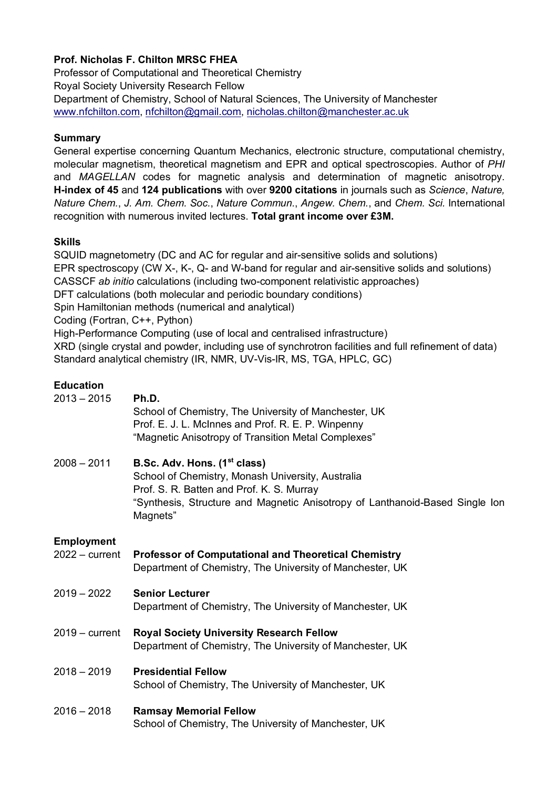# **Prof. Nicholas F. Chilton MRSC FHEA**

Professor of Computational and Theoretical Chemistry Royal Society University Research Fellow Department of Chemistry, School of Natural Sciences, The University of Manchester www.nfchilton.com, nfchilton@gmail.com, nicholas.chilton@manchester.ac.uk

### **Summary**

General expertise concerning Quantum Mechanics, electronic structure, computational chemistry, molecular magnetism, theoretical magnetism and EPR and optical spectroscopies. Author of *PHI* and *MAGELLAN* codes for magnetic analysis and determination of magnetic anisotropy. **H-index of 45** and **124 publications** with over **9200 citations** in journals such as *Science*, *Nature, Nature Chem.*, *J. Am. Chem. Soc.*, *Nature Commun.*, *Angew. Chem.*, and *Chem. Sci.* International recognition with numerous invited lectures. **Total grant income over £3M.**

### **Skills**

SQUID magnetometry (DC and AC for regular and air-sensitive solids and solutions) EPR spectroscopy (CW X-, K-, Q- and W-band for regular and air-sensitive solids and solutions) CASSCF *ab initio* calculations (including two-component relativistic approaches) DFT calculations (both molecular and periodic boundary conditions) Spin Hamiltonian methods (numerical and analytical) Coding (Fortran, C++, Python) High-Performance Computing (use of local and centralised infrastructure) XRD (single crystal and powder, including use of synchrotron facilities and full refinement of data) Standard analytical chemistry (IR, NMR, UV-Vis-IR, MS, TGA, HPLC, GC)

## **Education**

| $2013 - 2015$                         | Ph.D.<br>School of Chemistry, The University of Manchester, UK<br>Prof. E. J. L. McInnes and Prof. R. E. P. Winpenny<br>"Magnetic Anisotropy of Transition Metal Complexes"                                                            |
|---------------------------------------|----------------------------------------------------------------------------------------------------------------------------------------------------------------------------------------------------------------------------------------|
| $2008 - 2011$                         | B.Sc. Adv. Hons. (1 <sup>st</sup> class)<br>School of Chemistry, Monash University, Australia<br>Prof. S. R. Batten and Prof. K. S. Murray<br>"Synthesis, Structure and Magnetic Anisotropy of Lanthanoid-Based Single Ion<br>Magnets" |
| <b>Employment</b><br>$2022 - current$ | <b>Professor of Computational and Theoretical Chemistry</b><br>Department of Chemistry, The University of Manchester, UK                                                                                                               |
| $2019 - 2022$                         | <b>Senior Lecturer</b><br>Department of Chemistry, The University of Manchester, UK                                                                                                                                                    |
| $2019 - current$                      | <b>Royal Society University Research Fellow</b><br>Department of Chemistry, The University of Manchester, UK                                                                                                                           |
| $2018 - 2019$                         | <b>Presidential Fellow</b><br>School of Chemistry, The University of Manchester, UK                                                                                                                                                    |
| $2016 - 2018$                         | <b>Ramsay Memorial Fellow</b><br>School of Chemistry, The University of Manchester, UK                                                                                                                                                 |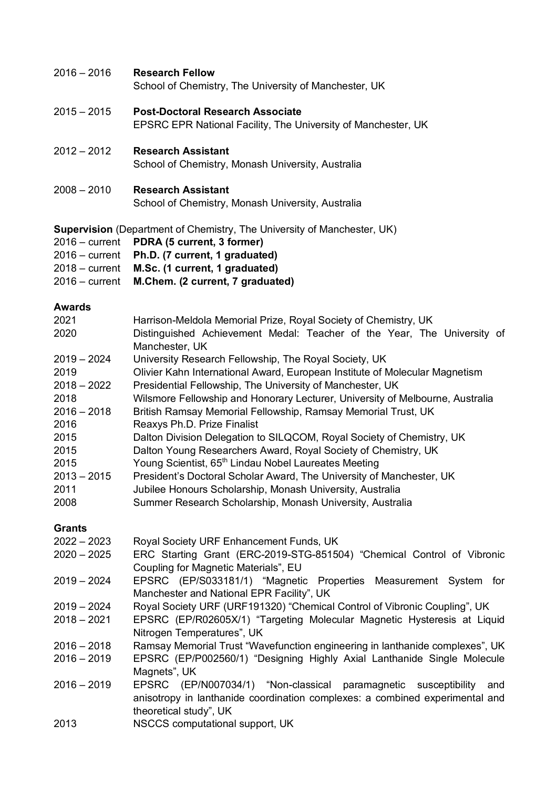#### 2016 – 2016 **Research Fellow**

School of Chemistry, The University of Manchester, UK

- 2015 2015 **Post-Doctoral Research Associate** EPSRC EPR National Facility, The University of Manchester, UK
- 2012 2012 **Research Assistant**

School of Chemistry, Monash University, Australia

2008 – 2010 **Research Assistant**

School of Chemistry, Monash University, Australia

**Supervision** (Department of Chemistry, The University of Manchester, UK)

- 2016 current **PDRA (5 current, 3 former)**
- 2016 current **Ph.D. (7 current, 1 graduated)**
- 2018 current **M.Sc. (1 current, 1 graduated)**
- 2016 current **M.Chem. (2 current, 7 graduated)**

#### **Awards**

| 2021<br>2020  | Harrison-Meldola Memorial Prize, Royal Society of Chemistry, UK<br>Distinguished Achievement Medal: Teacher of the Year, The University of<br>Manchester, UK |
|---------------|--------------------------------------------------------------------------------------------------------------------------------------------------------------|
| $2019 - 2024$ | University Research Fellowship, The Royal Society, UK                                                                                                        |
| 2019          | Olivier Kahn International Award, European Institute of Molecular Magnetism                                                                                  |
| $2018 - 2022$ | Presidential Fellowship, The University of Manchester, UK                                                                                                    |
| 2018          | Wilsmore Fellowship and Honorary Lecturer, University of Melbourne, Australia                                                                                |
| $2016 - 2018$ | British Ramsay Memorial Fellowship, Ramsay Memorial Trust, UK                                                                                                |
| 2016          | Reaxys Ph.D. Prize Finalist                                                                                                                                  |
| 2015          | Dalton Division Delegation to SILQCOM, Royal Society of Chemistry, UK                                                                                        |
| 2015          | Dalton Young Researchers Award, Royal Society of Chemistry, UK                                                                                               |
| 2015          | Young Scientist, 65 <sup>th</sup> Lindau Nobel Laureates Meeting                                                                                             |
| $2013 - 2015$ | President's Doctoral Scholar Award, The University of Manchester, UK                                                                                         |
| 2011          | Jubilee Honours Scholarship, Monash University, Australia                                                                                                    |
| 2008          | Summer Research Scholarship, Monash University, Australia                                                                                                    |
| <b>Grants</b> |                                                                                                                                                              |
| $2022 - 2023$ | Royal Society URF Enhancement Funds, UK                                                                                                                      |
| $2020 - 2025$ | ERC Starting Grant (ERC-2019-STG-851504) "Chemical Control of Vibronic                                                                                       |
|               | Coupling for Magnetic Materials", EU                                                                                                                         |
| $2019 - 2024$ | EPSRC (EP/S033181/1) "Magnetic Properties Measurement System for                                                                                             |
|               | Manchester and National EPR Facility", UK                                                                                                                    |
| $2019 - 2024$ | Royal Society URF (URF191320) "Chemical Control of Vibronic Coupling", UK                                                                                    |
| $2018 - 2021$ | EPSRC (EP/R02605X/1) "Targeting Molecular Magnetic Hysteresis at Liquid                                                                                      |
|               | Nitrogen Temperatures", UK                                                                                                                                   |
| $2016 - 2018$ | Ramsay Memorial Trust "Wavefunction engineering in lanthanide complexes", UK                                                                                 |
| $2016 - 2019$ | EPSRC (EP/P002560/1) "Designing Highly Axial Lanthanide Single Molecule                                                                                      |
|               | Magnets", UK                                                                                                                                                 |
| $2016 - 2019$ | EPSRC (EP/N007034/1) "Non-classical paramagnetic<br>susceptibility<br>and                                                                                    |
|               | anisotropy in lanthanide coordination complexes: a combined experimental and                                                                                 |
|               |                                                                                                                                                              |
|               | theoretical study", UK                                                                                                                                       |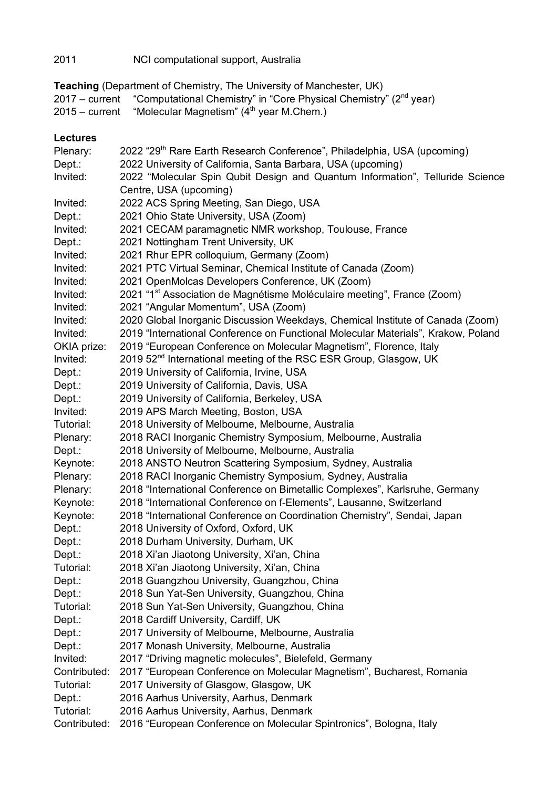## 2011 NCI computational support, Australia

**Teaching** (Department of Chemistry, The University of Manchester, UK)

2017 – current "Computational Chemistry" in "Core Physical Chemistry" (2<sup>nd</sup> year)

2015 – current "Molecular Magnetism" (4<sup>th</sup> year M.Chem.)

#### **Lectures**

| Plenary:     | 2022 "29 <sup>th</sup> Rare Earth Research Conference", Philadelphia, USA (upcoming) |
|--------------|--------------------------------------------------------------------------------------|
| Dept.:       | 2022 University of California, Santa Barbara, USA (upcoming)                         |
| Invited:     | 2022 "Molecular Spin Qubit Design and Quantum Information", Telluride Science        |
|              | Centre, USA (upcoming)                                                               |
| Invited:     | 2022 ACS Spring Meeting, San Diego, USA                                              |
| Dept.:       | 2021 Ohio State University, USA (Zoom)                                               |
| Invited:     | 2021 CECAM paramagnetic NMR workshop, Toulouse, France                               |
| Dept.:       | 2021 Nottingham Trent University, UK                                                 |
| Invited:     | 2021 Rhur EPR colloquium, Germany (Zoom)                                             |
| Invited:     | 2021 PTC Virtual Seminar, Chemical Institute of Canada (Zoom)                        |
| Invited:     | 2021 OpenMolcas Developers Conference, UK (Zoom)                                     |
| Invited:     | 2021 "1 <sup>st</sup> Association de Magnétisme Moléculaire meeting", France (Zoom)  |
| Invited:     | 2021 "Angular Momentum", USA (Zoom)                                                  |
| Invited:     | 2020 Global Inorganic Discussion Weekdays, Chemical Institute of Canada (Zoom)       |
| Invited:     | 2019 "International Conference on Functional Molecular Materials", Krakow, Poland    |
| OKIA prize:  | 2019 "European Conference on Molecular Magnetism", Florence, Italy                   |
| Invited:     | 2019 52 <sup>nd</sup> International meeting of the RSC ESR Group, Glasgow, UK        |
| Dept.:       | 2019 University of California, Irvine, USA                                           |
| Dept.:       | 2019 University of California, Davis, USA                                            |
| Dept.:       | 2019 University of California, Berkeley, USA                                         |
| Invited:     | 2019 APS March Meeting, Boston, USA                                                  |
| Tutorial:    | 2018 University of Melbourne, Melbourne, Australia                                   |
| Plenary:     | 2018 RACI Inorganic Chemistry Symposium, Melbourne, Australia                        |
| Dept.:       | 2018 University of Melbourne, Melbourne, Australia                                   |
| Keynote:     | 2018 ANSTO Neutron Scattering Symposium, Sydney, Australia                           |
| Plenary:     | 2018 RACI Inorganic Chemistry Symposium, Sydney, Australia                           |
| Plenary:     | 2018 "International Conference on Bimetallic Complexes", Karlsruhe, Germany          |
| Keynote:     | 2018 "International Conference on f-Elements", Lausanne, Switzerland                 |
| Keynote:     | 2018 "International Conference on Coordination Chemistry", Sendai, Japan             |
| Dept.:       | 2018 University of Oxford, Oxford, UK                                                |
| Dept.:       | 2018 Durham University, Durham, UK                                                   |
| Dept.:       | 2018 Xi'an Jiaotong University, Xi'an, China                                         |
| Tutorial:    | 2018 Xi'an Jiaotong University, Xi'an, China                                         |
| Depth:       | 2018 Guangzhou University, Guangzhou, China                                          |
| Dept.:       | 2018 Sun Yat-Sen University, Guangzhou, China                                        |
| Tutorial:    | 2018 Sun Yat-Sen University, Guangzhou, China                                        |
| Dept.:       | 2018 Cardiff University, Cardiff, UK                                                 |
| Dept.:       | 2017 University of Melbourne, Melbourne, Australia                                   |
| Dept.:       | 2017 Monash University, Melbourne, Australia                                         |
| Invited:     | 2017 "Driving magnetic molecules", Bielefeld, Germany                                |
| Contributed: | 2017 "European Conference on Molecular Magnetism", Bucharest, Romania                |
| Tutorial:    | 2017 University of Glasgow, Glasgow, UK                                              |
| Dept.:       | 2016 Aarhus University, Aarhus, Denmark                                              |
| Tutorial:    | 2016 Aarhus University, Aarhus, Denmark                                              |
| Contributed: | 2016 "European Conference on Molecular Spintronics", Bologna, Italy                  |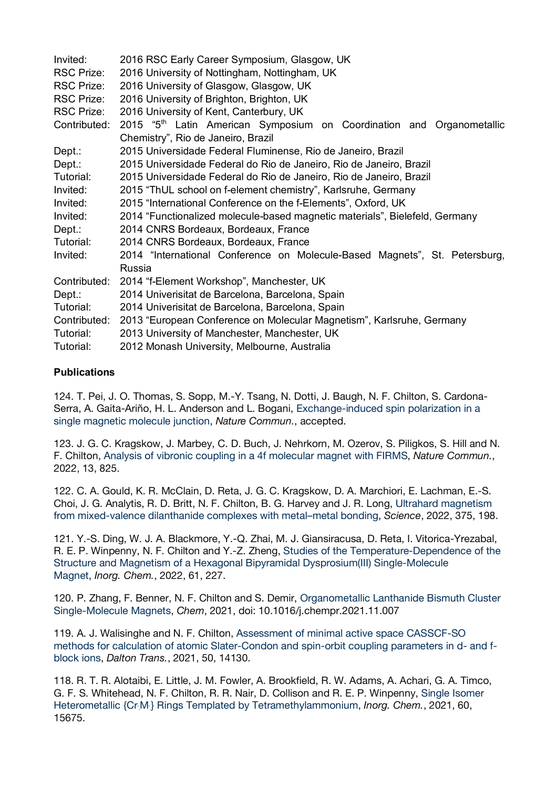| Invited:          | 2016 RSC Early Career Symposium, Glasgow, UK                                      |
|-------------------|-----------------------------------------------------------------------------------|
| <b>RSC Prize:</b> | 2016 University of Nottingham, Nottingham, UK                                     |
| RSC Prize:        | 2016 University of Glasgow, Glasgow, UK                                           |
| <b>RSC Prize:</b> | 2016 University of Brighton, Brighton, UK                                         |
| <b>RSC Prize:</b> | 2016 University of Kent, Canterbury, UK                                           |
| Contributed:      | 2015 "5 <sup>th</sup> Latin American Symposium on Coordination and Organometallic |
|                   | Chemistry", Rio de Janeiro, Brazil                                                |
| Dept.:            | 2015 Universidade Federal Fluminense, Rio de Janeiro, Brazil                      |
| Dept.:            | 2015 Universidade Federal do Rio de Janeiro, Rio de Janeiro, Brazil               |
| Tutorial:         | 2015 Universidade Federal do Rio de Janeiro, Rio de Janeiro, Brazil               |
| Invited:          | 2015 "ThUL school on f-element chemistry", Karlsruhe, Germany                     |
| Invited:          | 2015 "International Conference on the f-Elements", Oxford, UK                     |
| Invited:          | 2014 "Functionalized molecule-based magnetic materials", Bielefeld, Germany       |
| $Dept.$ :         | 2014 CNRS Bordeaux, Bordeaux, France                                              |
| Tutorial:         | 2014 CNRS Bordeaux, Bordeaux, France                                              |
| Invited:          | 2014 "International Conference on Molecule-Based Magnets", St. Petersburg,        |
|                   | Russia                                                                            |
| Contributed:      | 2014 "f-Element Workshop", Manchester, UK                                         |
| Dept.:            | 2014 Univerisitat de Barcelona, Barcelona, Spain                                  |
| Tutorial:         | 2014 Univerisitat de Barcelona, Barcelona, Spain                                  |
| Contributed:      | 2013 "European Conference on Molecular Magnetism", Karlsruhe, Germany             |
| Tutorial:         | 2013 University of Manchester, Manchester, UK                                     |
| Tutorial:         | 2012 Monash University, Melbourne, Australia                                      |

#### **Publications**

124. T. Pei, J. O. Thomas, S. Sopp, M.-Y. Tsang, N. Dotti, J. Baugh, N. F. Chilton, S. Cardona-Serra, A. Gaita-Ariño, H. L. Anderson and L. Bogani, Exchange-induced spin polarization in a single magnetic molecule junction, *Nature Commun.*, accepted.

123. J. G. C. Kragskow, J. Marbey, C. D. Buch, J. Nehrkorn, M. Ozerov, S. Piligkos, S. Hill and N. F. Chilton, Analysis of vibronic coupling in a 4f molecular magnet with FIRMS, *Nature Commun.*, 2022, 13, 825.

122. C. A. Gould, K. R. McClain, D. Reta, J. G. C. Kragskow, D. A. Marchiori, E. Lachman, E.-S. Choi, J. G. Analytis, R. D. Britt, N. F. Chilton, B. G. Harvey and J. R. Long, Ultrahard magnetism from mixed-valence dilanthanide complexes with metal–metal bonding, *Science*, 2022, 375, 198.

121. Y.-S. Ding, W. J. A. Blackmore, Y.-Q. Zhai, M. J. Giansiracusa, D. Reta, I. Vitorica-Yrezabal, R. E. P. Winpenny, N. F. Chilton and Y.-Z. Zheng, Studies of the Temperature-Dependence of the Structure and Magnetism of a Hexagonal Bipyramidal Dysprosium(III) Single-Molecule Magnet, *Inorg. Chem.*, 2022, 61, 227.

120. P. Zhang, F. Benner, N. F. Chilton and S. Demir, Organometallic Lanthanide Bismuth Cluster Single-Molecule Magnets, *Chem*, 2021, doi: 10.1016/j.chempr.2021.11.007

119. A. J. Walisinghe and N. F. Chilton, Assessment of minimal active space CASSCF-SO methods for calculation of atomic Slater-Condon and spin-orbit coupling parameters in d- and fblock ions, *Dalton Trans.*, 2021, 50, 14130.

118. R. T. R. Alotaibi, E. Little, J. M. Fowler, A. Brookfield, R. W. Adams, A. Achari, G. A. Timco, G. F. S. Whitehead, N. F. Chilton, R. R. Nair, D. Collison and R. E. P. Winpenny, Single Isomer Heterometallic {Cr<sub>:</sub>M<sub>:</sub>} Rings Templated by Tetramethylammonium, *Inorg. Chem.*, 2021, 60, 15675.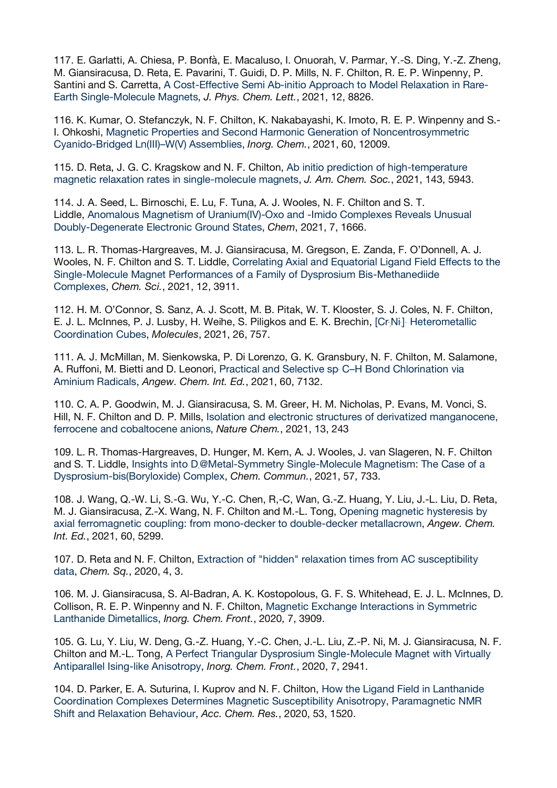117. E. Garlatti, A. Chiesa, P. Bonfà, E. Macaluso, I. Onuorah, V. Parmar, Y.-S. Ding, Y.-Z. Zheng, M. Giansiracusa, D. Reta, E. Pavarini, T. Guidi, D. P. Mills, N. F. Chilton, R. E. P. Winpenny, P. Santini and S. Carretta, A Cost-Effective Semi Ab-initio Approach to Model Relaxation in Rare-Earth Single-Molecule Magnets, *J. Phys. Chem. Lett.*, 2021, 12, 8826.

116. K. Kumar, O. Stefanczyk, N. F. Chilton, K. Nakabayashi, K. Imoto, R. E. P. Winpenny and S.- I. Ohkoshi, Magnetic Properties and Second Harmonic Generation of Noncentrosymmetric Cyanido-Bridged Ln(III)–W(V) Assemblies, *Inorg. Chem.*, 2021, 60, 12009.

115. D. Reta, J. G. C. Kragskow and N. F. Chilton, Ab initio prediction of high-temperature magnetic relaxation rates in single-molecule magnets, *J. Am. Chem. Soc.*, 2021, 143, 5943.

114. J. A. Seed, L. Birnoschi, E. Lu, F. Tuna, A. J. Wooles, N. F. Chilton and S. T. Liddle, Anomalous Magnetism of Uranium(IV)-Oxo and -Imido Complexes Reveals Unusual Doubly-Degenerate Electronic Ground States, *Chem*, 2021, 7, 1666.

113. L. R. Thomas-Hargreaves, M. J. Giansiracusa, M. Gregson, E. Zanda, F. O'Donnell, A. J. Wooles, N. F. Chilton and S. T. Liddle, Correlating Axial and Equatorial Ligand Field Effects to the Single-Molecule Magnet Performances of a Family of Dysprosium Bis-Methanediide Complexes, *Chem. Sci.*, 2021, 12, 3911.

112. H. M. O'Connor, S. Sanz, A. J. Scott, M. B. Pitak, W. T. Klooster, S. J. Coles, N. F. Chilton, E. J. L. McInnes, P. J. Lusby, H. Weihe, S. Piligkos and E. K. Brechin, [Cr:Ni] Heterometallic Coordination Cubes, *Molecules*, 2021, 26, 757.

111. A. J. McMillan, M. Sienkowska, P. Di Lorenzo, G. K. Gransbury, N. F. Chilton, M. Salamone, A. Ruffoni, M. Bietti and D. Leonori, Practical and Selective sp C-H Bond Chlorination via Aminium Radicals, *Angew. Chem. Int. Ed.*, 2021, 60, 7132.

110. C. A. P. Goodwin, M. J. Giansiracusa, S. M. Greer, H. M. Nicholas, P. Evans, M. Vonci, S. Hill, N. F. Chilton and D. P. Mills, Isolation and electronic structures of derivatized manganocene, ferrocene and cobaltocene anions, *Nature Chem.*, 2021, 13, 243

109. L. R. Thomas-Hargreaves, D. Hunger, M. Kern, A. J. Wooles, J. van Slageren, N. F. Chilton and S. T. Liddle, Insights into D@Metal-Symmetry Single-Molecule Magnetism: The Case of a Dysprosium-bis(Boryloxide) Complex, *Chem. Commun.*, 2021, 57, 733.

108. J. Wang, Q.-W. Li, S.-G. Wu, Y.-C. Chen, R,-C, Wan, G.-Z. Huang, Y. Liu, J.-L. Liu, D. Reta, M. J. Giansiracusa, Z.-X. Wang, N. F. Chilton and M.-L. Tong, Opening magnetic hysteresis by axial ferromagnetic coupling: from mono-decker to double-decker metallacrown, *Angew. Chem. Int. Ed.*, 2021, 60, 5299.

107. D. Reta and N. F. Chilton, Extraction of "hidden" relaxation times from AC susceptibility data, *Chem. Sq.*, 2020, 4, 3.

106. M. J. Giansiracusa, S. Al-Badran, A. K. Kostopolous, G. F. S. Whitehead, E. J. L. McInnes, D. Collison, R. E. P. Winpenny and N. F. Chilton, Magnetic Exchange Interactions in Symmetric Lanthanide Dimetallics, *Inorg. Chem. Front.*, 2020, 7, 3909.

105. G. Lu, Y. Liu, W. Deng, G.-Z. Huang, Y.-C. Chen, J.-L. Liu, Z.-P. Ni, M. J. Giansiracusa, N. F. Chilton and M.-L. Tong, A Perfect Triangular Dysprosium Single-Molecule Magnet with Virtually Antiparallel Ising-like Anisotropy, *Inorg. Chem. Front.*, 2020, 7, 2941.

104. D. Parker, E. A. Suturina, I. Kuprov and N. F. Chilton, How the Ligand Field in Lanthanide Coordination Complexes Determines Magnetic Susceptibility Anisotropy, Paramagnetic NMR Shift and Relaxation Behaviour, *Acc. Chem. Res.*, 2020, 53, 1520.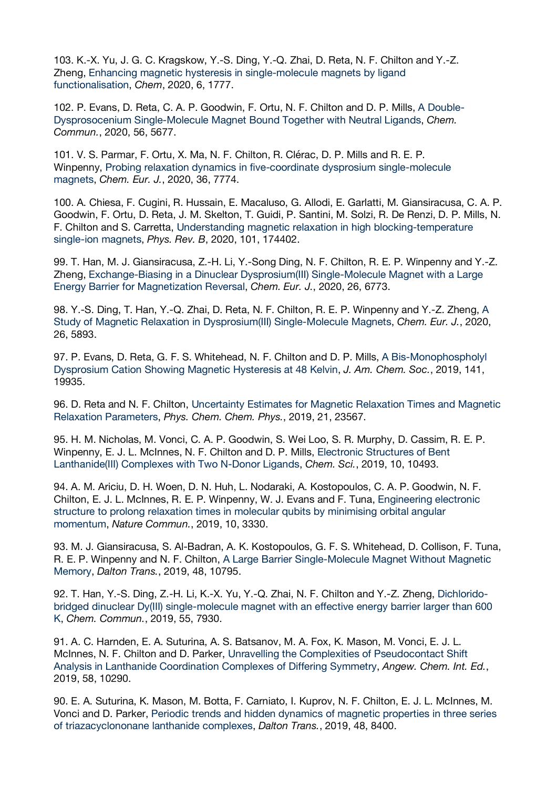103. K.-X. Yu, J. G. C. Kragskow, Y.-S. Ding, Y.-Q. Zhai, D. Reta, N. F. Chilton and Y.-Z. Zheng, Enhancing magnetic hysteresis in single-molecule magnets by ligand functionalisation, *Chem*, 2020, 6, 1777.

102. P. Evans, D. Reta, C. A. P. Goodwin, F. Ortu, N. F. Chilton and D. P. Mills, A Double-Dysprosocenium Single-Molecule Magnet Bound Together with Neutral Ligands, *Chem. Commun.*, 2020, 56, 5677.

101. V. S. Parmar, F. Ortu, X. Ma, N. F. Chilton, R. Clérac, D. P. Mills and R. E. P. Winpenny, Probing relaxation dynamics in five‐coordinate dysprosium single‐molecule magnets, *Chem. Eur. J.*, 2020, 36, 7774.

100. A. Chiesa, F. Cugini, R. Hussain, E. Macaluso, G. Allodi, E. Garlatti, M. Giansiracusa, C. A. P. Goodwin, F. Ortu, D. Reta, J. M. Skelton, T. Guidi, P. Santini, M. Solzi, R. De Renzi, D. P. Mills, N. F. Chilton and S. Carretta, Understanding magnetic relaxation in high blocking-temperature single-ion magnets, *Phys. Rev. B*, 2020, 101, 174402.

99. T. Han, M. J. Giansiracusa, Z.-H. Li, Y.-Song Ding, N. F. Chilton, R. E. P. Winpenny and Y.-Z. Zheng, Exchange-Biasing in a Dinuclear Dysprosium(III) Single-Molecule Magnet with a Large Energy Barrier for Magnetization Reversal, *Chem. Eur. J.*, 2020, 26, 6773.

98. Y.-S. Ding, T. Han, Y.-Q. Zhai, D. Reta, N. F. Chilton, R. E. P. Winpenny and Y.-Z. Zheng, A Study of Magnetic Relaxation in Dysprosium(III) Single-Molecule Magnets, *Chem. Eur. J.*, 2020, 26, 5893.

97. P. Evans, D. Reta, G. F. S. Whitehead, N. F. Chilton and D. P. Mills, A Bis-Monophospholyl Dysprosium Cation Showing Magnetic Hysteresis at 48 Kelvin, *J. Am. Chem. Soc.*, 2019, 141, 19935.

96. D. Reta and N. F. Chilton, Uncertainty Estimates for Magnetic Relaxation Times and Magnetic Relaxation Parameters, *Phys. Chem. Chem. Phys.*, 2019, 21, 23567.

95. H. M. Nicholas, M. Vonci, C. A. P. Goodwin, S. Wei Loo, S. R. Murphy, D. Cassim, R. E. P. Winpenny, E. J. L. McInnes, N. F. Chilton and D. P. Mills, Electronic Structures of Bent Lanthanide(III) Complexes with Two N-Donor Ligands, *Chem. Sci.*, 2019, 10, 10493.

94. A. M. Ariciu, D. H. Woen, D. N. Huh, L. Nodaraki, A. Kostopoulos, C. A. P. Goodwin, N. F. Chilton, E. J. L. McInnes, R. E. P. Winpenny, W. J. Evans and F. Tuna, Engineering electronic structure to prolong relaxation times in molecular qubits by minimising orbital angular momentum, *Nature Commun.*, 2019, 10, 3330.

93. M. J. Giansiracusa, S. Al-Badran, A. K. Kostopoulos, G. F. S. Whitehead, D. Collison, F. Tuna, R. E. P. Winpenny and N. F. Chilton, A Large Barrier Single-Molecule Magnet Without Magnetic Memory, *Dalton Trans.*, 2019, 48, 10795.

92. T. Han, Y.-S. Ding, Z.-H. Li, K.-X. Yu, Y.-Q. Zhai, N. F. Chilton and Y.-Z. Zheng, Dichloridobridged dinuclear Dy(III) single-molecule magnet with an effective energy barrier larger than 600 K, *Chem. Commun.*, 2019, 55, 7930.

91. A. C. Harnden, E. A. Suturina, A. S. Batsanov, M. A. Fox, K. Mason, M. Vonci, E. J. L. McInnes, N. F. Chilton and D. Parker, Unravelling the Complexities of Pseudocontact Shift Analysis in Lanthanide Coordination Complexes of Differing Symmetry, *Angew. Chem. Int. Ed.*, 2019, 58, 10290.

90. E. A. Suturina, K. Mason, M. Botta, F. Carniato, I. Kuprov, N. F. Chilton, E. J. L. McInnes, M. Vonci and D. Parker, Periodic trends and hidden dynamics of magnetic properties in three series of triazacyclononane lanthanide complexes, *Dalton Trans.*, 2019, 48, 8400.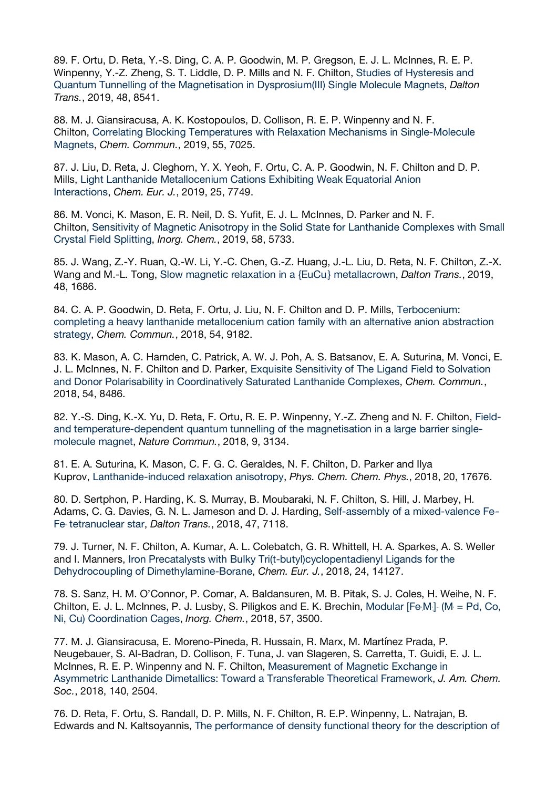89. F. Ortu, D. Reta, Y.-S. Ding, C. A. P. Goodwin, M. P. Gregson, E. J. L. McInnes, R. E. P. Winpenny, Y.-Z. Zheng, S. T. Liddle, D. P. Mills and N. F. Chilton, Studies of Hysteresis and Quantum Tunnelling of the Magnetisation in Dysprosium(III) Single Molecule Magnets, *Dalton Trans.*, 2019, 48, 8541.

88. M. J. Giansiracusa, A. K. Kostopoulos, D. Collison, R. E. P. Winpenny and N. F. Chilton, Correlating Blocking Temperatures with Relaxation Mechanisms in Single-Molecule Magnets, *Chem. Commun.*, 2019, 55, 7025.

87. J. Liu, D. Reta, J. Cleghorn, Y. X. Yeoh, F. Ortu, C. A. P. Goodwin, N. F. Chilton and D. P. Mills, Light Lanthanide Metallocenium Cations Exhibiting Weak Equatorial Anion Interactions, *Chem. Eur. J.*, 2019, 25, 7749.

86. M. Vonci, K. Mason, E. R. Neil, D. S. Yufit, E. J. L. McInnes, D. Parker and N. F. Chilton, Sensitivity of Magnetic Anisotropy in the Solid State for Lanthanide Complexes with Small Crystal Field Splitting, *Inorg. Chem.*, 2019, 58, 5733.

85. J. Wang, Z.-Y. Ruan, Q.-W. Li, Y.-C. Chen, G.-Z. Huang, J.-L. Liu, D. Reta, N. F. Chilton, Z.-X. Wang and M.-L. Tong, Slow magnetic relaxation in a {EuCu} metallacrown, *Dalton Trans.*, 2019, 48, 1686.

84. C. A. P. Goodwin, D. Reta, F. Ortu, J. Liu, N. F. Chilton and D. P. Mills, Terbocenium: completing a heavy lanthanide metallocenium cation family with an alternative anion abstraction strategy, *Chem. Commun.*, 2018, 54, 9182.

83. K. Mason, A. C. Harnden, C. Patrick, A. W. J. Poh, A. S. Batsanov, E. A. Suturina, M. Vonci, E. J. L. McInnes, N. F. Chilton and D. Parker, Exquisite Sensitivity of The Ligand Field to Solvation and Donor Polarisability in Coordinatively Saturated Lanthanide Complexes, *Chem. Commun.*, 2018, 54, 8486.

82. Y.-S. Ding, K.-X. Yu, D. Reta, F. Ortu, R. E. P. Winpenny, Y.-Z. Zheng and N. F. Chilton, Fieldand temperature-dependent quantum tunnelling of the magnetisation in a large barrier singlemolecule magnet, *Nature Commun.*, 2018, 9, 3134.

81. E. A. Suturina, K. Mason, C. F. G. C. Geraldes, N. F. Chilton, D. Parker and Ilya Kuprov, Lanthanide-induced relaxation anisotropy, *Phys. Chem. Chem. Phys.*, 2018, 20, 17676.

80. D. Sertphon, P. Harding, K. S. Murray, B. Moubaraki, N. F. Chilton, S. Hill, J. Marbey, H. Adams, C. G. Davies, G. N. L. Jameson and D. J. Harding, Self-assembly of a mixed-valence Fe-Fe tetranuclear star, *Dalton Trans.*, 2018, 47, 7118.

79. J. Turner, N. F. Chilton, A. Kumar, A. L. Colebatch, G. R. Whittell, H. A. Sparkes, A. S. Weller and I. Manners, Iron Precatalysts with Bulky Tri(t‐butyl)cyclopentadienyl Ligands for the Dehydrocoupling of Dimethylamine‐Borane, *Chem. Eur. J.*, 2018, 24, 14127.

78. S. Sanz, H. M. O'Connor, P. Comar, A. Baldansuren, M. B. Pitak, S. J. Coles, H. Weihe, N. F. Chilton, E. J. L. McInnes, P. J. Lusby, S. Piligkos and E. K. Brechin, Modular [Fe $[M]$  (M = Pd, Co, Ni, Cu) Coordination Cages, *Inorg. Chem.*, 2018, 57, 3500.

77. M. J. Giansiracusa, E. Moreno-Pineda, R. Hussain, R. Marx, M. Martínez Prada, P. Neugebauer, S. Al-Badran, D. Collison, F. Tuna, J. van Slageren, S. Carretta, T. Guidi, E. J. L. McInnes, R. E. P. Winpenny and N. F. Chilton, Measurement of Magnetic Exchange in Asymmetric Lanthanide Dimetallics: Toward a Transferable Theoretical Framework, *J. Am. Chem. Soc.*, 2018, 140, 2504.

76. D. Reta, F. Ortu, S. Randall, D. P. Mills, N. F. Chilton, R. E.P. Winpenny, L. Natrajan, B. Edwards and N. Kaltsoyannis, The performance of density functional theory for the description of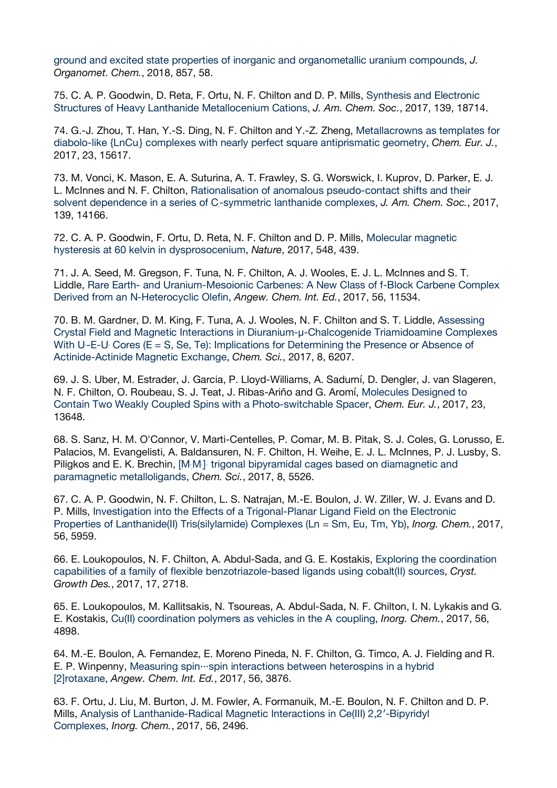ground and excited state properties of inorganic and organometallic uranium compounds, *J. Organomet. Chem.*, 2018, 857, 58.

75. C. A. P. Goodwin, D. Reta, F. Ortu, N. F. Chilton and D. P. Mills, Synthesis and Electronic Structures of Heavy Lanthanide Metallocenium Cations, *J. Am. Chem. Soc.*, 2017, 139, 18714.

74. G.-J. Zhou, T. Han, Y.-S. Ding, N. F. Chilton and Y.-Z. Zheng, Metallacrowns as templates for diabolo-like {LnCu} complexes with nearly perfect square antiprismatic geometry, *Chem. Eur. J.*, 2017, 23, 15617.

73. M. Vonci, K. Mason, E. A. Suturina, A. T. Frawley, S. G. Worswick, I. Kuprov, D. Parker, E. J. L. McInnes and N. F. Chilton, Rationalisation of anomalous pseudo-contact shifts and their solvent dependence in a series of C-symmetric lanthanide complexes, *J. Am. Chem. Soc.*, 2017, 139, 14166.

72. C. A. P. Goodwin, F. Ortu, D. Reta, N. F. Chilton and D. P. Mills, Molecular magnetic hysteresis at 60 kelvin in dysprosocenium, *Nature*, 2017, 548, 439.

71. J. A. Seed, M. Gregson, F. Tuna, N. F. Chilton, A. J. Wooles, E. J. L. McInnes and S. T. Liddle, Rare Earth- and Uranium-Mesoionic Carbenes: A New Class of f-Block Carbene Complex Derived from an N-Heterocyclic Olefin, *Angew. Chem. Int. Ed.*, 2017, 56, 11534.

70. B. M. Gardner, D. M. King, F. Tuna, A. J. Wooles, N. F. Chilton and S. T. Liddle, Assessing Crystal Field and Magnetic Interactions in Diuranium-μ-Chalcogenide Triamidoamine Complexes With  $U$ -E-U<sub>'</sub> Cores (E = S, Se, Te): Implications for Determining the Presence or Absence of Actinide-Actinide Magnetic Exchange, *Chem. Sci.*, 2017, 8, 6207.

69. J. S. Uber, M. Estrader, J. Garcia, P. Lloyd-Williams, A. Sadurní, D. Dengler, J. van Slageren, N. F. Chilton, O. Roubeau, S. J. Teat, J. Ribas-Ariño and G. Aromí, Molecules Designed to Contain Two Weakly Coupled Spins with a Photo-switchable Spacer, *Chem. Eur. J.*, 2017, 23, 13648.

68. S. Sanz, H. M. O'Connor, V. Marti-Centelles, P. Comar, M. B. Pitak, S. J. Coles, G. Lorusso, E. Palacios, M. Evangelisti, A. Baldansuren, N. F. Chilton, H. Weihe, E. J. L. McInnes, P. J. Lusby, S. Piligkos and E. K. Brechin, [M<sub>I</sub>MI] trigonal bipyramidal cages based on diamagnetic and paramagnetic metalloligands, *Chem. Sci.*, 2017, 8, 5526.

67. C. A. P. Goodwin, N. F. Chilton, L. S. Natrajan, M.-E. Boulon, J. W. Ziller, W. J. Evans and D. P. Mills, Investigation into the Effects of a Trigonal-Planar Ligand Field on the Electronic Properties of Lanthanide(II) Tris(silylamide) Complexes (Ln = Sm, Eu, Tm, Yb), *Inorg. Chem.*, 2017, 56, 5959.

66. E. Loukopoulos, N. F. Chilton, A. Abdul-Sada, and G. E. Kostakis, Exploring the coordination capabilities of a family of flexible benzotriazole-based ligands using cobalt(II) sources, *Cryst. Growth Des.*, 2017, 17, 2718.

65. E. Loukopoulos, M. Kallitsakis, N. Tsoureas, A. Abdul-Sada, N. F. Chilton, I. N. Lykakis and G. E. Kostakis, Cu(II) coordination polymers as vehicles in the A coupling, *Inorg. Chem.*, 2017, 56, 4898.

64. M.-E. Boulon, A. Fernandez, E. Moreno Pineda, N. F. Chilton, G. Timco, A. J. Fielding and R. E. P. Winpenny, Measuring spin···spin interactions between heterospins in a hybrid [2]rotaxane, *Angew. Chem. Int. Ed.*, 2017, 56, 3876.

63. F. Ortu, J. Liu, M. Burton, J. M. Fowler, A. Formanuik, M.-E. Boulon, N. F. Chilton and D. P. Mills, Analysis of Lanthanide-Radical Magnetic Interactions in Ce(III) 2,2′-Bipyridyl Complexes, *Inorg. Chem.*, 2017, 56, 2496.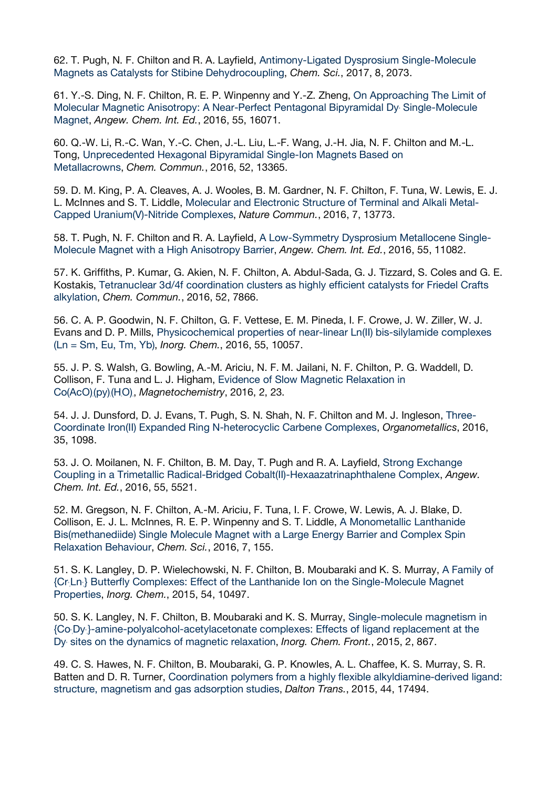62. T. Pugh, N. F. Chilton and R. A. Layfield, Antimony-Ligated Dysprosium Single-Molecule Magnets as Catalysts for Stibine Dehydrocoupling, *Chem. Sci.*, 2017, 8, 2073.

61. Y.-S. Ding, N. F. Chilton, R. E. P. Winpenny and Y.-Z. Zheng, On Approaching The Limit of Molecular Magnetic Anisotropy: A Near-Perfect Pentagonal Bipyramidal Dy Single-Molecule Magnet, *Angew. Chem. Int. Ed.*, 2016, 55, 16071.

60. Q.-W. Li, R.-C. Wan, Y.-C. Chen, J.-L. Liu, L.-F. Wang, J.-H. Jia, N. F. Chilton and M.-L. Tong, Unprecedented Hexagonal Bipyramidal Single-Ion Magnets Based on Metallacrowns, *Chem. Commun.*, 2016, 52, 13365.

59. D. M. King, P. A. Cleaves, A. J. Wooles, B. M. Gardner, N. F. Chilton, F. Tuna, W. Lewis, E. J. L. McInnes and S. T. Liddle, Molecular and Electronic Structure of Terminal and Alkali Metal-Capped Uranium(V)-Nitride Complexes, *Nature Commun.*, 2016, 7, 13773.

58. T. Pugh, N. F. Chilton and R. A. Layfield, A Low-Symmetry Dysprosium Metallocene Single-Molecule Magnet with a High Anisotropy Barrier, *Angew. Chem. Int. Ed.*, 2016, 55, 11082.

57. K. Griffiths, P. Kumar, G. Akien, N. F. Chilton, A. Abdul-Sada, G. J. Tizzard, S. Coles and G. E. Kostakis, Tetranuclear 3d/4f coordination clusters as highly efficient catalysts for Friedel Crafts alkylation, *Chem. Commun.*, 2016, 52, 7866.

56. C. A. P. Goodwin, N. F. Chilton, G. F. Vettese, E. M. Pineda, I. F. Crowe, J. W. Ziller, W. J. Evans and D. P. Mills, Physicochemical properties of near-linear Ln(II) bis-silylamide complexes (Ln = Sm, Eu, Tm, Yb), *Inorg. Chem.*, 2016, 55, 10057.

55. J. P. S. Walsh, G. Bowling, A.-M. Ariciu, N. F. M. Jailani, N. F. Chilton, P. G. Waddell, D. Collison, F. Tuna and L. J. Higham, Evidence of Slow Magnetic Relaxation in Co(AcO)2 (py)2 (H2 O)2 , *Magnetochemistry*, 2016, 2, 23.

54. J. J. Dunsford, D. J. Evans, T. Pugh, S. N. Shah, N. F. Chilton and M. J. Ingleson, Three-Coordinate Iron(II) Expanded Ring N-heterocyclic Carbene Complexes, *Organometallics*, 2016, 35, 1098.

53. J. O. Moilanen, N. F. Chilton, B. M. Day, T. Pugh and R. A. Layfield, Strong Exchange Coupling in a Trimetallic Radical-Bridged Cobalt(II)-Hexaazatrinaphthalene Complex, *Angew. Chem. Int. Ed.*, 2016, 55, 5521.

52. M. Gregson, N. F. Chilton, A.-M. Ariciu, F. Tuna, I. F. Crowe, W. Lewis, A. J. Blake, D. Collison, E. J. L. McInnes, R. E. P. Winpenny and S. T. Liddle, A Monometallic Lanthanide Bis(methanediide) Single Molecule Magnet with a Large Energy Barrier and Complex Spin Relaxation Behaviour, *Chem. Sci.*, 2016, 7, 155.

51. S. K. Langley, D. P. Wielechowski, N. F. Chilton, B. Moubaraki and K. S. Murray, A Family of {Cr<sub>i</sub>Ln<sub>i</sub>} Butterfly Complexes: Effect of the Lanthanide Ion on the Single-Molecule Magnet Properties, *Inorg. Chem.*, 2015, 54, 10497.

50. S. K. Langley, N. F. Chilton, B. Moubaraki and K. S. Murray, Single-molecule magnetism in {Co<sub>2</sub>Dy}-amine-polyalcohol-acetylacetonate complexes: Effects of ligand replacement at the Dy sites on the dynamics of magnetic relaxation, *Inorg. Chem. Front.*, 2015, 2, 867.

49. C. S. Hawes, N. F. Chilton, B. Moubaraki, G. P. Knowles, A. L. Chaffee, K. S. Murray, S. R. Batten and D. R. Turner, Coordination polymers from a highly flexible alkyldiamine-derived ligand: structure, magnetism and gas adsorption studies, *Dalton Trans.*, 2015, 44, 17494.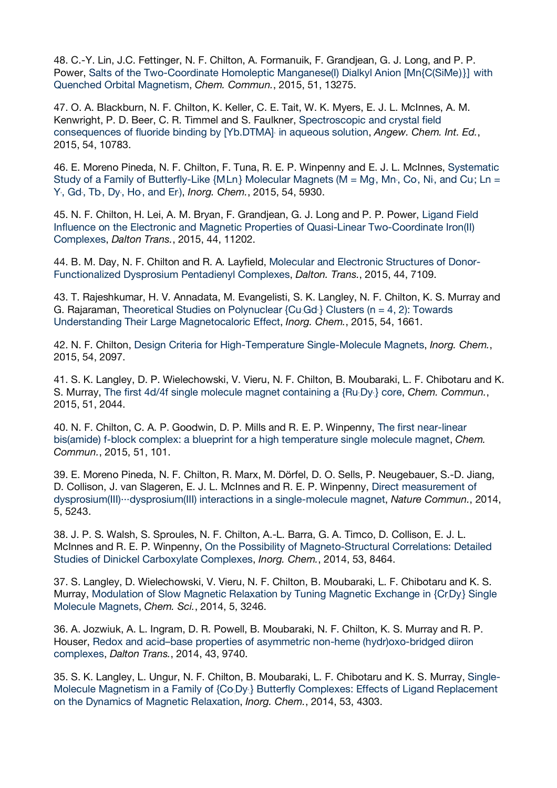48. C.-Y. Lin, J.C. Fettinger, N. F. Chilton, A. Formanuik, F. Grandjean, G. J. Long, and P. P. Power, Salts of the Two-Coordinate Homoleptic Manganese(I) Dialkyl Anion [Mn{C(SiMe)}] with Quenched Orbital Magnetism, *Chem. Commun.*, 2015, 51, 13275.

47. O. A. Blackburn, N. F. Chilton, K. Keller, C. E. Tait, W. K. Myers, E. J. L. McInnes, A. M. Kenwright, P. D. Beer, C. R. Timmel and S. Faulkner, Spectroscopic and crystal field consequences of fluoride binding by [Yb.DTMA] in aqueous solution, *Angew. Chem. Int. Ed.*, 2015, 54, 10783.

46. E. Moreno Pineda, N. F. Chilton, F. Tuna, R. E. P. Winpenny and E. J. L. McInnes, Systematic Study of a Family of Butterfly-Like  ${M.Ln}$  Molecular Magnets (M = Mg, Mn, Co, Ni, and Cu; Ln = Y. Gd., Tb., Dy., Ho., and Er., *Inorg. Chem.*, 2015, 54, 5930.

45. N. F. Chilton, H. Lei, A. M. Bryan, F. Grandjean, G. J. Long and P. P. Power, Ligand Field Influence on the Electronic and Magnetic Properties of Quasi-Linear Two-Coordinate Iron(II) Complexes, *Dalton Trans.*, 2015, 44, 11202.

44. B. M. Day, N. F. Chilton and R. A. Layfield, Molecular and Electronic Structures of Donor-Functionalized Dysprosium Pentadienyl Complexes, *Dalton. Trans.*, 2015, 44, 7109.

43. T. Rajeshkumar, H. V. Annadata, M. Evangelisti, S. K. Langley, N. F. Chilton, K. S. Murray and G. Rajaraman, Theoretical Studies on Polynuclear  ${Cu;Gd}$  Clusters (n = 4, 2): Towards Understanding Their Large Magnetocaloric Effect, *Inorg. Chem.*, 2015, 54, 1661.

42. N. F. Chilton, Design Criteria for High-Temperature Single-Molecule Magnets, *Inorg. Chem.*, 2015, 54, 2097.

41. S. K. Langley, D. P. Wielechowski, V. Vieru, N. F. Chilton, B. Moubaraki, L. F. Chibotaru and K. S. Murray, The first 4d/4f single molecule magnet containing a  $\{Ru, Dy\}$  core, *Chem. Commun.*, 2015, 51, 2044.

40. N. F. Chilton, C. A. P. Goodwin, D. P. Mills and R. E. P. Winpenny, The first near-linear bis(amide) f-block complex: a blueprint for a high temperature single molecule magnet, *Chem. Commun.*, 2015, 51, 101.

39. E. Moreno Pineda, N. F. Chilton, R. Marx, M. Dörfel, D. O. Sells, P. Neugebauer, S.-D. Jiang, D. Collison, J. van Slageren, E. J. L. McInnes and R. E. P. Winpenny, Direct measurement of dysprosium(III)···dysprosium(III) interactions in a single-molecule magnet, *Nature Commun.*, 2014, 5, 5243.

38. J. P. S. Walsh, S. Sproules, N. F. Chilton, A.-L. Barra, G. A. Timco, D. Collison, E. J. L. McInnes and R. E. P. Winpenny, On the Possibility of Magneto-Structural Correlations: Detailed Studies of Dinickel Carboxylate Complexes, *Inorg. Chem.*, 2014, 53, 8464.

37. S. Langley, D. Wielechowski, V. Vieru, N. F. Chilton, B. Moubaraki, L. F. Chibotaru and K. S. Murray, Modulation of Slow Magnetic Relaxation by Tuning Magnetic Exchange in {Cr,Dy,} Single Molecule Magnets, *Chem. Sci.*, 2014, 5, 3246.

36. A. Jozwiuk, A. L. Ingram, D. R. Powell, B. Moubaraki, N. F. Chilton, K. S. Murray and R. P. Houser, Redox and acid–base properties of asymmetric non-heme (hydr)oxo-bridged diiron complexes, *Dalton Trans.*, 2014, 43, 9740.

35. S. K. Langley, L. Ungur, N. F. Chilton, B. Moubaraki, L. F. Chibotaru and K. S. Murray, Single-Molecule Magnetism in a Family of {Co<sub>1</sub>Dy<sub>1</sub>} Butterfly Complexes: Effects of Ligand Replacement on the Dynamics of Magnetic Relaxation, *Inorg. Chem.*, 2014, 53, 4303.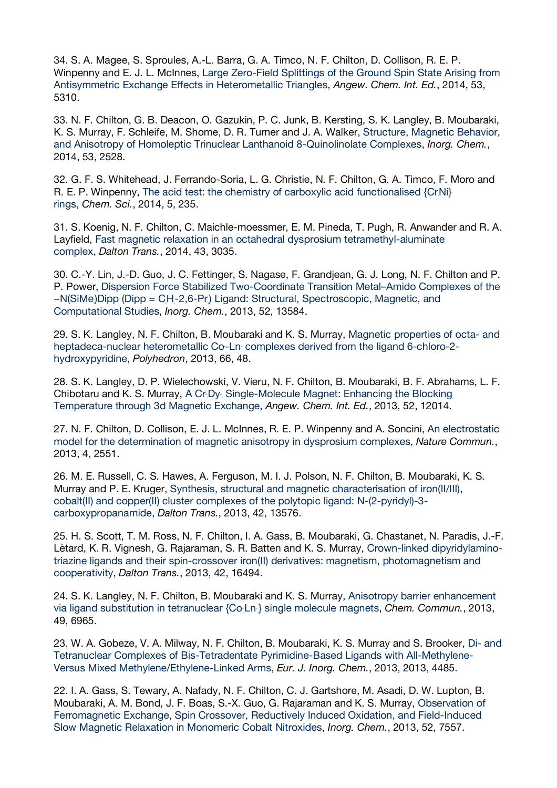34. S. A. Magee, S. Sproules, A.-L. Barra, G. A. Timco, N. F. Chilton, D. Collison, R. E. P. Winpenny and E. J. L. McInnes, Large Zero-Field Splittings of the Ground Spin State Arising from Antisymmetric Exchange Effects in Heterometallic Triangles, *Angew. Chem. Int. Ed.*, 2014, 53, 5310.

33. N. F. Chilton, G. B. Deacon, O. Gazukin, P. C. Junk, B. Kersting, S. K. Langley, B. Moubaraki, K. S. Murray, F. Schleife, M. Shome, D. R. Turner and J. A. Walker, Structure, Magnetic Behavior, and Anisotropy of Homoleptic Trinuclear Lanthanoid 8-Quinolinolate Complexes, *Inorg. Chem.*, 2014, 53, 2528.

32. G. F. S. Whitehead, J. Ferrando-Soria, L. G. Christie, N. F. Chilton, G. A. Timco, F. Moro and R. E. P. Winpenny, The acid test: the chemistry of carboxylic acid functionalised {CrNi} rings, *Chem. Sci.*, 2014, 5, 235.

31. S. Koenig, N. F. Chilton, C. Maichle-moessmer, E. M. Pineda, T. Pugh, R. Anwander and R. A. Layfield, Fast magnetic relaxation in an octahedral dysprosium tetramethyl-aluminate complex, *Dalton Trans.*, 2014, 43, 3035.

30. C.-Y. Lin, J.-D. Guo, J. C. Fettinger, S. Nagase, F. Grandjean, G. J. Long, N. F. Chilton and P. P. Power, Dispersion Force Stabilized Two-Coordinate Transition Metal–Amido Complexes of the –N(SiMe)Dipp (Dipp = CH-2,6-Pr) Ligand: Structural, Spectroscopic, Magnetic, and Computational Studies, *Inorg. Chem.*, 2013, 52, 13584.

29. S. K. Langley, N. F. Chilton, B. Moubaraki and K. S. Murray, Magnetic properties of octa- and heptadeca-nuclear heterometallic Co-Ln complexes derived from the ligand 6-chloro-2hydroxypyridine, *Polyhedron*, 2013, 66, 48.

28. S. K. Langley, D. P. Wielechowski, V. Vieru, N. F. Chilton, B. Moubaraki, B. F. Abrahams, L. F. Chibotaru and K. S. Murray, A Cr. Dy. Single-Molecule Magnet: Enhancing the Blocking Temperature through 3d Magnetic Exchange, *Angew. Chem. Int. Ed.*, 2013, 52, 12014.

27. N. F. Chilton, D. Collison, E. J. L. McInnes, R. E. P. Winpenny and A. Soncini, An electrostatic model for the determination of magnetic anisotropy in dysprosium complexes, *Nature Commun.*, 2013, 4, 2551.

26. M. E. Russell, C. S. Hawes, A. Ferguson, M. I. J. Polson, N. F. Chilton, B. Moubaraki, K. S. Murray and P. E. Kruger, Synthesis, structural and magnetic characterisation of iron(II/III), cobalt(II) and copper(II) cluster complexes of the polytopic ligand: N-(2-pyridyl)-3 carboxypropanamide, *Dalton Trans.*, 2013, 42, 13576.

25. H. S. Scott, T. M. Ross, N. F. Chilton, I. A. Gass, B. Moubaraki, G. Chastanet, N. Paradis, J.-F. Lètard, K. R. Vignesh, G. Rajaraman, S. R. Batten and K. S. Murray, Crown-linked dipyridylaminotriazine ligands and their spin-crossover iron(II) derivatives: magnetism, photomagnetism and cooperativity, *Dalton Trans.*, 2013, 42, 16494.

24. S. K. Langley, N. F. Chilton, B. Moubaraki and K. S. Murray, Anisotropy barrier enhancement via ligand substitution in tetranuclear {Co<sub>i</sub>Ln} single molecule magnets, *Chem. Commun.*, 2013, 49, 6965.

23. W. A. Gobeze, V. A. Milway, N. F. Chilton, B. Moubaraki, K. S. Murray and S. Brooker, Di- and Tetranuclear Complexes of Bis-Tetradentate Pyrimidine-Based Ligands with All-Methylene-Versus Mixed Methylene/Ethylene-Linked Arms, *Eur. J. Inorg. Chem.*, 2013, 2013, 4485.

22. I. A. Gass, S. Tewary, A. Nafady, N. F. Chilton, C. J. Gartshore, M. Asadi, D. W. Lupton, B. Moubaraki, A. M. Bond, J. F. Boas, S.-X. Guo, G. Rajaraman and K. S. Murray, Observation of Ferromagnetic Exchange, Spin Crossover, Reductively Induced Oxidation, and Field-Induced Slow Magnetic Relaxation in Monomeric Cobalt Nitroxides, *Inorg. Chem.*, 2013, 52, 7557.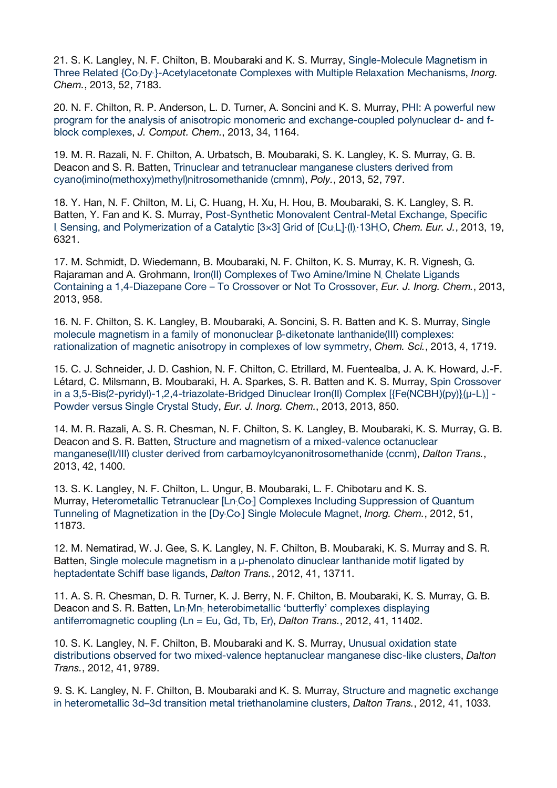21. S. K. Langley, N. F. Chilton, B. Moubaraki and K. S. Murray, Single-Molecule Magnetism in Three Related {Co<sub>2</sub>Dy<sub>3</sub>}-Acetylacetonate Complexes with Multiple Relaxation Mechanisms, *Inorg. Chem.*, 2013, 52, 7183.

20. N. F. Chilton, R. P. Anderson, L. D. Turner, A. Soncini and K. S. Murray, PHI: A powerful new program for the analysis of anisotropic monomeric and exchange-coupled polynuclear d- and fblock complexes, *J. Comput. Chem.*, 2013, 34, 1164.

19. M. R. Razali, N. F. Chilton, A. Urbatsch, B. Moubaraki, S. K. Langley, K. S. Murray, G. B. Deacon and S. R. Batten, Trinuclear and tetranuclear manganese clusters derived from cyano(imino(methoxy)methyl)nitrosomethanide (cmnm), *Poly.*, 2013, 52, 797.

18. Y. Han, N. F. Chilton, M. Li, C. Huang, H. Xu, H. Hou, B. Moubaraki, S. K. Langley, S. R. Batten, Y. Fan and K. S. Murray, Post-Synthetic Monovalent Central-Metal Exchange, Specific I Sensing, and Polymerization of a Catalytic [3×3] Grid of [Cu<sub>i</sub>L]·(I)·13HO, Chem. Eur. J., 2013, 19, 6321.

17. M. Schmidt, D. Wiedemann, B. Moubaraki, N. F. Chilton, K. S. Murray, K. R. Vignesh, G. Rajaraman and A. Grohmann, Iron(II) Complexes of Two Amine/Imine N Chelate Ligands Containing a 1,4-Diazepane Core – To Crossover or Not To Crossover, *Eur. J. Inorg. Chem.*, 2013, 2013, 958.

16. N. F. Chilton, S. K. Langley, B. Moubaraki, A. Soncini, S. R. Batten and K. S. Murray, Single molecule magnetism in a family of mononuclear β-diketonate lanthanide(III) complexes: rationalization of magnetic anisotropy in complexes of low symmetry, *Chem. Sci.*, 2013, 4, 1719.

15. C. J. Schneider, J. D. Cashion, N. F. Chilton, C. Etrillard, M. Fuentealba, J. A. K. Howard, J.-F. Létard, C. Milsmann, B. Moubaraki, H. A. Sparkes, S. R. Batten and K. S. Murray, Spin Crossover in a 3,5-Bis(2-pyridyl)-1,2,4-triazolate-Bridged Dinuclear Iron(II) Complex [{Fe(NCBH)(py)},(μ-L)] -Powder versus Single Crystal Study, *Eur. J. Inorg. Chem.*, 2013, 2013, 850.

14. M. R. Razali, A. S. R. Chesman, N. F. Chilton, S. K. Langley, B. Moubaraki, K. S. Murray, G. B. Deacon and S. R. Batten, Structure and magnetism of a mixed-valence octanuclear manganese(II/III) cluster derived from carbamoylcyanonitrosomethanide (ccnm), *Dalton Trans.*, 2013, 42, 1400.

13. S. K. Langley, N. F. Chilton, L. Ungur, B. Moubaraki, L. F. Chibotaru and K. S. Murray, Heterometallic Tetranuclear [Ln Co.] Complexes Including Suppression of Quantum Tunneling of Magnetization in the [Dy<sub>'</sub>Co<sub>'</sub>] Single Molecule Magnet, *Inorg. Chem.*, 2012, 51, 11873.

12. M. Nematirad, W. J. Gee, S. K. Langley, N. F. Chilton, B. Moubaraki, K. S. Murray and S. R. Batten, Single molecule magnetism in a μ-phenolato dinuclear lanthanide motif ligated by heptadentate Schiff base ligands, *Dalton Trans.*, 2012, 41, 13711.

11. A. S. R. Chesman, D. R. Turner, K. J. Berry, N. F. Chilton, B. Moubaraki, K. S. Murray, G. B. Deacon and S. R. Batten, Ln<sub>:</sub>Mn<sub>:</sub> heterobimetallic 'butterfly' complexes displaying antiferromagnetic coupling (Ln = Eu, Gd, Tb, Er), *Dalton Trans.*, 2012, 41, 11402.

10. S. K. Langley, N. F. Chilton, B. Moubaraki and K. S. Murray, Unusual oxidation state distributions observed for two mixed-valence heptanuclear manganese disc-like clusters, *Dalton Trans.*, 2012, 41, 9789.

9. S. K. Langley, N. F. Chilton, B. Moubaraki and K. S. Murray, Structure and magnetic exchange in heterometallic 3d–3d transition metal triethanolamine clusters, *Dalton Trans.*, 2012, 41, 1033.